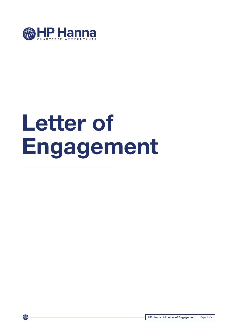

# **Letter of Engagement**

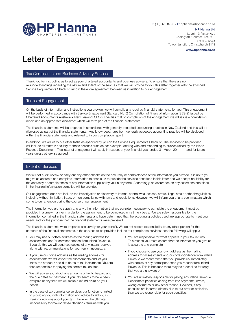

**P:** (03) 379 8790 • **E:** hphanna@hphanna.co.nz

**HP Hanna Ltd** Level 1, 3 Picton Ave Addington, Christchurch 8011 PO Box 9094 Tower Junction, Christchurch 8149

**www.hphanna.co.nz**

# Letter of Engagement

### Tax Compliance and Business Advisory Services

Thank you for instructing us to act as your chartered accountants and business advisers. To ensure that there are no misunderstandings regarding the nature and extent of the services that we will provide to you, this letter together with the attached Service Requirements Checklist, record the entire agreement between us in relation to our engagement.

### Terms of Engagement

On the basis of information and instructions you provide, we will compile any required financial statements for you. This engagement will be performed in accordance with Service Engagement Standard No. 2 Compilation of Financial Information (SES-2) issued by Chartered Accountants Australia + New Zealand. SES-2 specifies that on completion of the engagement we will issue a compilation report and an appropriate disclaimer which will form part of the financial statements.

The financial statements will be prepared in accordance with generally accepted accounting practice in New Zealand and this will be disclosed as part of the financial statements. Any know departures from generally accepted accounting practice will be disclosed within the financial statements and referred to in our compilation report.

In addition, we will carry out other tasks as specified by you on the Service Requirements Checklist. The services to be provided will include all matters ancillary to those services such as, for example, dealing with and responding to queries raised by the Inland Revenue Department. This letter of engagement will apply in respect of your financial year ended 31 March 20\_\_\_\_\_ and for future years unless otherwise agreed.

# Extent of Services

We will not audit, review or carry out any other checks on the accuracy or completeness of the information you provide. It is up to you to give us accurate and complete information to enable us to provide the services described in this letter and we accept no liability for the accuracy or completeness of any information supplied by you in any form. Accordingly, no assurance on any assertions contained in the financial information compiled will be provided.

Our engagement does not include the investigation or discovery of internal control weaknesses, errors, illegal acts or other irregularities, including without limitation, fraud, or non compliance with laws and regulations. However, we will inform you of any such matters which come to our attention during the course of our engagement.

The information you are to supply and any other information that we consider necessary to complete the engagement must be provided in a timely manner in order for the assignment to be completed on a timely basis. You are solely responsible for the information contained in the financial statements and have determined that the accounting policies used are appropriate to meet your needs and for the purpose that the financial statements were prepared.

The financial statements were prepared exclusively for your benefit. We do not accept responsibility to any other person for the contents of the financial statements. If the services to be provided include tax compliance services then the following will apply:

- You may use our office address as the mailing address for assessments and/or correspondence from Inland Revenue. If you do this we will send you copies of any letters received along with recommendations for your reply if necessary.
- If you use our office address as the mailing address for assessments we will check the assessments and let you know the amounts and due dates of tax instalments. You are then responsible for paying the correct tax on time.
- We will advise you about any amounts of tax to be paid and the due dates for payment. If your tax seems to have been overpaid at any time we will make a refund claim on your behalf.
- In the case of tax compliance services our function is limited to providing you with information and advice to aid you in making decisions about your tax. However, the ultimate responsibility for making those decisions remains with you.
- You are responsible for what appears in your tax returns. This means you must ensure that the information you give us is accurate and complete.
- If you choose to use your own address as the mailing address for assessments and/or correspondence from Inland Revenue we recommend that you provide us immediately with copies of any correspondence you receive from Inland Revenue. This is because there may be a deadline for reply that you are unaware of.
- You are ultimately responsible for paying any Inland Revenue Department penalties arising from late payments, errors, wrong estimates or any other reason. However, if any penalties are incurred directly due to our error or omission, then we are responsible for such penalties.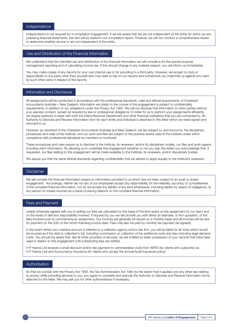### Independence

Independence is not required for a compilation engagement. If we are aware that we are not independent of the entity for which we are preparing financial statements, this fact will be stated in our compilation report. However, we will not conduct a comprehensive review to determine whether we are or are not independent of the entity.

#### Use and Distribution of the Financial Information

We understand that the intended use and distribution of the financial information we will compile is for the special purpose management reporting and of calculating income tax. If this should change in any material respect, you will inform us immediately.

You may make copies of any reports for your own internal use or for providing to a third party. However, we accept no duty or responsibility to any party other than yourself who may seek to rely on our reports and furthermore you indemnify us against any claim by such other party in respect of the reports.

#### Information and Disclosure

All assignments will be conducted in accordance with the professional standards, rules and ethical requirements of Chartered Accountants Australia + New Zealand. Information we obtain in the course of this engagement is subject to confidentiality requirements, in addition to our obligations under the Privacy Act 1993. We will not disclose that information to other parties without your express consent, except as required by law or professional obligations. In order for us to perform your assignments efficiently we require authority to liaise with both the Inland Revenue Department and other financial institutions that you are connected to. An Authority to Disclose and Receive Information form for each entity and individual is attached to this letter which we need signed and returned to us.

However, as members of the Chartered Accountants Australia and New Zealand, we are subject to, and bound by, the disciplinary procedures and rules of the Institute, and our work and files are subject to the practice review rules of the Institute under which compliance with professional standards by members is monitored.

These procedures and rules require us to disclose to the Institute, its reviewers, and/or its disciplinary bodies, our files and work papers including client information. By allowing us to undertake this engagement (whether or not you sign this letter) you acknowledge that, if requested, our files relating to this engagement will be made available to the Institute, its reviewers, and/or disciplinary bodies.

We assure you that the same ethical standards regarding confidentiality that we adhere to apply equally to the Institute's reviewers.

#### Disclaimer

We will compile the financial information based on information provided to us which has not been subject to an audit or review engagement. Accordingly, neither we nor any of our employees accept any responsibility for the reliability, accuracy or completeness of the compiled financial information, nor do we accept any liability of any kind whatsoever, including liability by reason of negligence, to any person for losses incurred as a result of placing reliance on the compiled financial information.

# Fees and Payment

Unless otherwise agreed with you in writing our fees are calculated on the basis of the time spent on the assignment by our team and on the levels of skill and responsibility involved. If required by you we will provide you with either an estimate, or firm quotation, of the fees involved prior to commencing an assignment. Our invoices will generally be issued on a monthly basis and all invoices will be due for payment on the 20th of the month following invoice date. Fees may also be paid by monthly fee payment (as agreed).

In the event where your overdue account is referred to a collection agency and/or law firm, you will be liable for all costs which would be incurred as if the debt is collected in full, including commission on collection of the additional costs and also including legal demand costs. You should be aware that, like all other providers of services, we are entitled to retain possession of your records that have been used in relation to this engagement until outstanding fees are settled.

H P Hanna Ltd receives a small discount and/or fee payment for administrative costs from XERO (for clients who subscribe via H P Hanna Ltd) and Accountancy Insurance (for clients who accept the annual Audit Insurance policy)

# Authorisation

So that we comply with the Privacy Act 1993, the Tax Administration Act 1984 (to the extent that it applies) and any other law relating to privacy while providing services to you, you agree to complete and execute the Authority to Disclose and Receive Information forms attached to this letter. We may ask you for other authorisations if necessary.